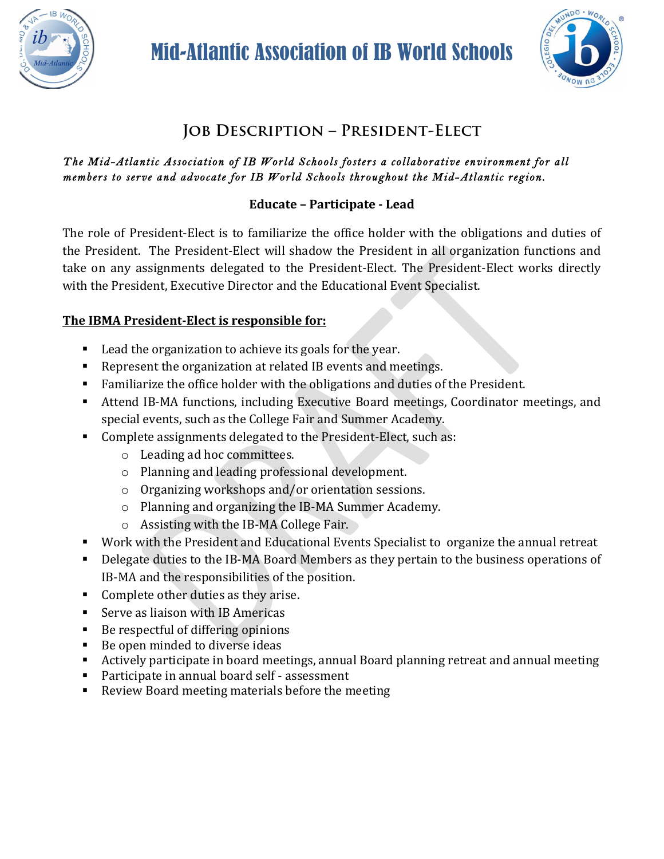

Mid-Atlantic Association of IB World Schools



# **Job Description – President-Elect**

#### *The Mid-Atlantic Association of IB World Schools fosters a collaborative environment for all members to serve and advocate for IB World Schools throughout the Mid-Atlantic region.*

# **Educate – Participate - Lead**

The role of President-Elect is to familiarize the office holder with the obligations and duties of the President. The President-Elect will shadow the President in all organization functions and take on any assignments delegated to the President-Elect. The President-Elect works directly with the President, Executive Director and the Educational Event Specialist.

## The IBMA President-Elect is responsible for:

- Lead the organization to achieve its goals for the year.
- Represent the organization at related IB events and meetings.
- **•** Familiarize the office holder with the obligations and duties of the President.
- Attend IB-MA functions, including Executive Board meetings, Coordinator meetings, and special events, such as the College Fair and Summer Academy.
- Complete assignments delegated to the President-Elect, such as:
	- $\circ$  Leading ad hoc committees.
	- $\circ$  Planning and leading professional development.
	- $\circ$  Organizing workshops and/or orientation sessions.
	- $\circ$  Planning and organizing the IB-MA Summer Academy.
	- $\circ$  Assisting with the IB-MA College Fair.
- Work with the President and Educational Events Specialist to organize the annual retreat
- Delegate duties to the IB-MA Board Members as they pertain to the business operations of IB-MA and the responsibilities of the position.
- Complete other duties as they arise.
- Serve as liaison with IB Americas
- Be respectful of differing opinions
- Be open minded to diverse ideas
- Actively participate in board meetings, annual Board planning retreat and annual meeting
- Participate in annual board self assessment
- Review Board meeting materials before the meeting